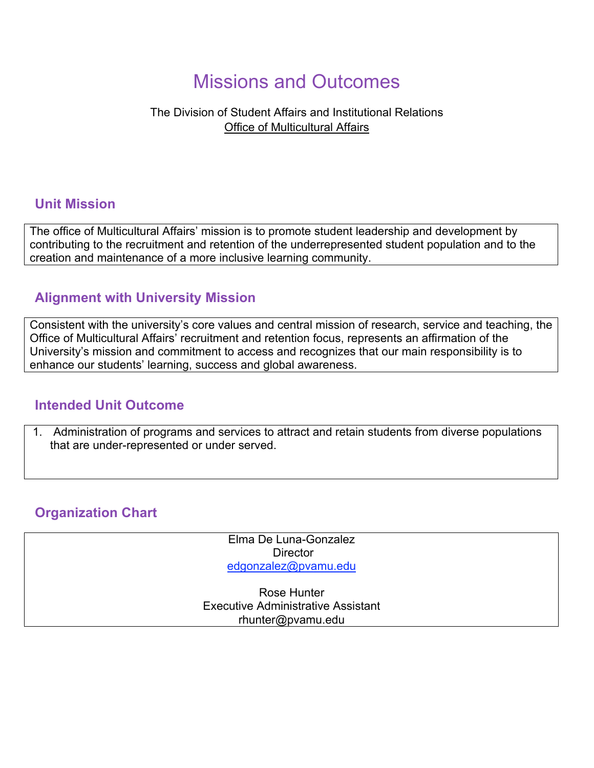# Missions and Outcomes

### The Division of Student Affairs and Institutional Relations Office of Multicultural Affairs

### **Unit Mission**

The office of Multicultural Affairs' mission is to promote student leadership and development by contributing to the recruitment and retention of the underrepresented student population and to the creation and maintenance of a more inclusive learning community.

## **Alignment with University Mission**

Consistent with the university's core values and central mission of research, service and teaching, the Office of Multicultural Affairs' recruitment and retention focus, represents an affirmation of the University's mission and commitment to access and recognizes that our main responsibility is to enhance our students' learning, success and global awareness.

### **Intended Unit Outcome**

1. Administration of programs and services to attract and retain students from diverse populations that are under-represented or under served.

# **Organization Chart**

Elma De Luna-Gonzalez **Director** edgonzalez@pvamu.edu

Rose Hunter Executive Administrative Assistant rhunter@pvamu.edu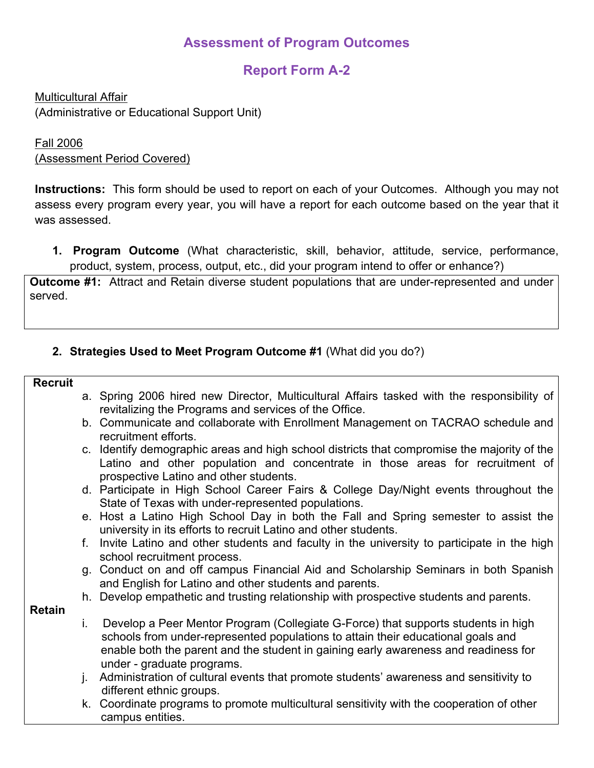# **Assessment of Program Outcomes**

# **Report Form A-2**

Multicultural Affair (Administrative or Educational Support Unit)

#### Fall 2006 (Assessment Period Covered)

**Instructions:** This form should be used to report on each of your Outcomes. Although you may not assess every program every year, you will have a report for each outcome based on the year that it was assessed.

**1. Program Outcome** (What characteristic, skill, behavior, attitude, service, performance, product, system, process, output, etc., did your program intend to offer or enhance?)

**Outcome #1:** Attract and Retain diverse student populations that are under-represented and under served.

### **2. Strategies Used to Meet Program Outcome #1** (What did you do?)

#### **Recruit**

- a. Spring 2006 hired new Director, Multicultural Affairs tasked with the responsibility of revitalizing the Programs and services of the Office.
- b. Communicate and collaborate with Enrollment Management on TACRAO schedule and recruitment efforts.
- c. Identify demographic areas and high school districts that compromise the majority of the Latino and other population and concentrate in those areas for recruitment of prospective Latino and other students.
- d. Participate in High School Career Fairs & College Day/Night events throughout the State of Texas with under-represented populations.
- e. Host a Latino High School Day in both the Fall and Spring semester to assist the university in its efforts to recruit Latino and other students.
- f. Invite Latino and other students and faculty in the university to participate in the high school recruitment process.
- g. Conduct on and off campus Financial Aid and Scholarship Seminars in both Spanish and English for Latino and other students and parents.
- h. Develop empathetic and trusting relationship with prospective students and parents.

**Retain**

- i. Develop a Peer Mentor Program (Collegiate G-Force) that supports students in high schools from under-represented populations to attain their educational goals and enable both the parent and the student in gaining early awareness and readiness for under - graduate programs.
- j. Administration of cultural events that promote students' awareness and sensitivity to different ethnic groups.
- k. Coordinate programs to promote multicultural sensitivity with the cooperation of other campus entities.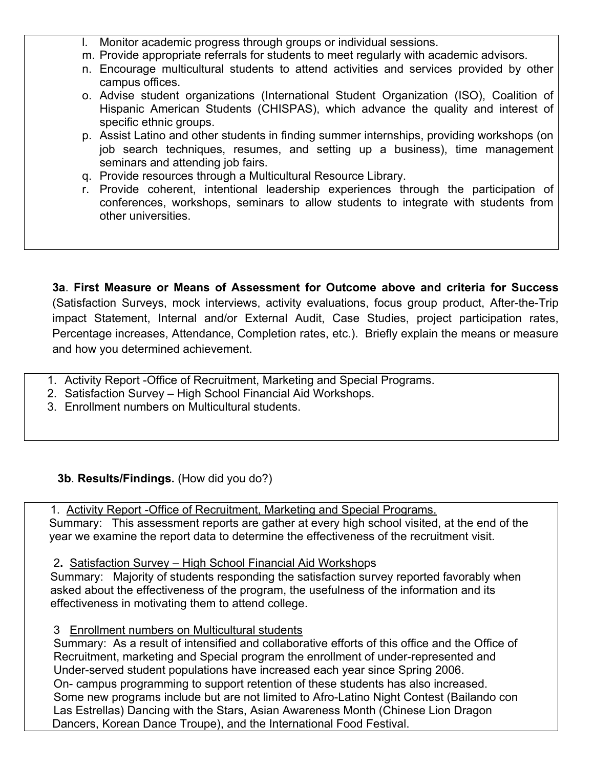l. Monitor academic progress through groups or individual sessions.

- m. Provide appropriate referrals for students to meet regularly with academic advisors.
- n. Encourage multicultural students to attend activities and services provided by other campus offices.
- o. Advise student organizations (International Student Organization (ISO), Coalition of Hispanic American Students (CHISPAS), which advance the quality and interest of specific ethnic groups.
- p. Assist Latino and other students in finding summer internships, providing workshops (on job search techniques, resumes, and setting up a business), time management seminars and attending job fairs.
- q. Provide resources through a Multicultural Resource Library.
- r. Provide coherent, intentional leadership experiences through the participation of conferences, workshops, seminars to allow students to integrate with students from other universities.

**3a**. **First Measure or Means of Assessment for Outcome above and criteria for Success**  (Satisfaction Surveys, mock interviews, activity evaluations, focus group product, After-the-Trip impact Statement, Internal and/or External Audit, Case Studies, project participation rates, Percentage increases, Attendance, Completion rates, etc.). Briefly explain the means or measure and how you determined achievement.

- 1. Activity Report -Office of Recruitment, Marketing and Special Programs.
- 2. Satisfaction Survey High School Financial Aid Workshops.
- 3. Enrollment numbers on Multicultural students.

 **3b**. **Results/Findings.** (How did you do?)

1. Activity Report - Office of Recruitment, Marketing and Special Programs.

 Summary: This assessment reports are gather at every high school visited, at the end of the year we examine the report data to determine the effectiveness of the recruitment visit.

2. 2**.** Satisfaction Survey – High School Financial Aid Workshops

Summary: Majority of students responding the satisfaction survey reported favorably when asked about the effectiveness of the program, the usefulness of the information and its 5. effectiveness in motivating them to attend college.

7. 3 Enrollment numbers on Multicultural students

**8.** Summary:As a result of intensified and collaborative efforts of this office and the Office of **9.** Recruitment, marketing and Special program the enrollment of under-represented and **10.** Under-served student populations have increased each year since Spring 2006. **11.** On- campus programming to support retention of these students has also increased. **12.** Some new programs include but are not limited to Afro-Latino Night Contest (Bailando con Las Estrellas) Dancing with the Stars, Asian Awareness Month (Chinese Lion Dragon Dancers, Korean Dance Troupe), and the International Food Festival.